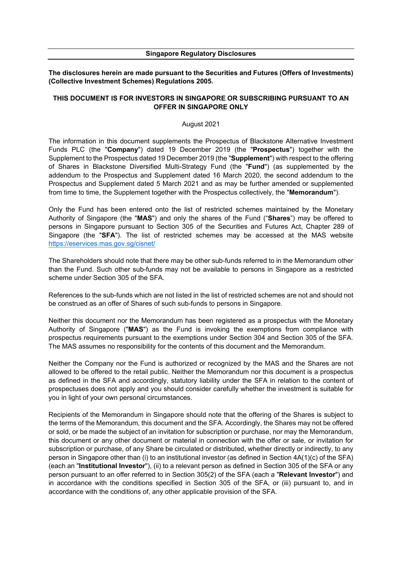### **Singapore Regulatory Disclosures**

**The disclosures herein are made pursuant to the Securities and Futures (Offers of Investments) (Collective Investment Schemes) Regulations 2005.**

# **THIS DOCUMENT IS FOR INVESTORS IN SINGAPORE OR SUBSCRIBING PURSUANT TO AN OFFER IN SINGAPORE ONLY**

### August 2021

The information in this document supplements the Prospectus of Blackstone Alternative Investment Funds PLC (the "**Company**") dated 19 December 2019 (the "**Prospectus**") together with the Supplement to the Prospectus dated 19 December 2019 (the "**Supplement**") with respect to the offering of Shares in Blackstone Diversified Multi-Strategy Fund (the "**Fund**") (as supplemented by the addendum to the Prospectus and Supplement dated 16 March 2020, the second addendum to the Prospectus and Supplement dated 5 March 2021 and as may be further amended or supplemented from time to time, the Supplement together with the Prospectus collectively, the "**Memorandum**").

Only the Fund has been entered onto the list of restricted schemes maintained by the Monetary Authority of Singapore (the "**MAS**") and only the shares of the Fund ("**Shares**") may be offered to persons in Singapore pursuant to Section 305 of the Securities and Futures Act, Chapter 289 of Singapore (the "**SFA**"). The list of restricted schemes may be accessed at the MAS website <https://eservices.mas.gov.sg/cisnet/>

The Shareholders should note that there may be other sub-funds referred to in the Memorandum other than the Fund. Such other sub-funds may not be available to persons in Singapore as a restricted scheme under Section 305 of the SFA.

References to the sub-funds which are not listed in the list of restricted schemes are not and should not be construed as an offer of Shares of such sub-funds to persons in Singapore.

Neither this document nor the Memorandum has been registered as a prospectus with the Monetary Authority of Singapore ("**MAS**") as the Fund is invoking the exemptions from compliance with prospectus requirements pursuant to the exemptions under Section 304 and Section 305 of the SFA. The MAS assumes no responsibility for the contents of this document and the Memorandum.

Neither the Company nor the Fund is authorized or recognized by the MAS and the Shares are not allowed to be offered to the retail public. Neither the Memorandum nor this document is a prospectus as defined in the SFA and accordingly, statutory liability under the SFA in relation to the content of prospectuses does not apply and you should consider carefully whether the investment is suitable for you in light of your own personal circumstances.

Recipients of the Memorandum in Singapore should note that the offering of the Shares is subject to the terms of the Memorandum, this document and the SFA. Accordingly, the Shares may not be offered or sold, or be made the subject of an invitation for subscription or purchase, nor may the Memorandum, this document or any other document or material in connection with the offer or sale, or invitation for subscription or purchase, of any Share be circulated or distributed, whether directly or indirectly, to any person in Singapore other than (i) to an institutional investor (as defined in Section 4A(1)(c) of the SFA) (each an "**Institutional Investor**"), (ii) to a relevant person as defined in Section 305 of the SFA or any person pursuant to an offer referred to in Section 305(2) of the SFA (each a "**Relevant Investor**") and in accordance with the conditions specified in Section 305 of the SFA, or (iii) pursuant to, and in accordance with the conditions of, any other applicable provision of the SFA.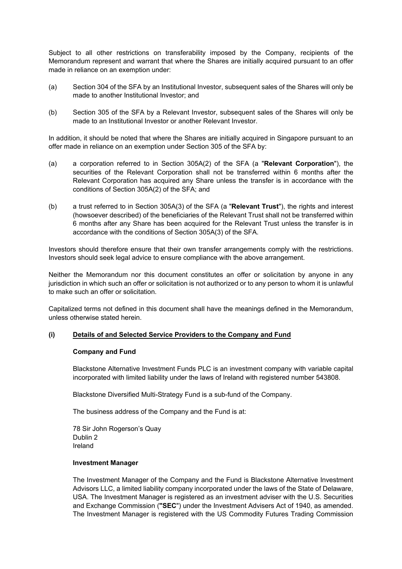Subject to all other restrictions on transferability imposed by the Company, recipients of the Memorandum represent and warrant that where the Shares are initially acquired pursuant to an offer made in reliance on an exemption under:

- (a) Section 304 of the SFA by an Institutional Investor, subsequent sales of the Shares will only be made to another Institutional Investor; and
- (b) Section 305 of the SFA by a Relevant Investor, subsequent sales of the Shares will only be made to an Institutional Investor or another Relevant Investor.

In addition, it should be noted that where the Shares are initially acquired in Singapore pursuant to an offer made in reliance on an exemption under Section 305 of the SFA by:

- (a) a corporation referred to in Section 305A(2) of the SFA (a "**Relevant Corporation**"), the securities of the Relevant Corporation shall not be transferred within 6 months after the Relevant Corporation has acquired any Share unless the transfer is in accordance with the conditions of Section 305A(2) of the SFA; and
- (b) a trust referred to in Section 305A(3) of the SFA (a "**Relevant Trust**"), the rights and interest (howsoever described) of the beneficiaries of the Relevant Trust shall not be transferred within 6 months after any Share has been acquired for the Relevant Trust unless the transfer is in accordance with the conditions of Section 305A(3) of the SFA.

Investors should therefore ensure that their own transfer arrangements comply with the restrictions. Investors should seek legal advice to ensure compliance with the above arrangement.

Neither the Memorandum nor this document constitutes an offer or solicitation by anyone in any jurisdiction in which such an offer or solicitation is not authorized or to any person to whom it is unlawful to make such an offer or solicitation.

Capitalized terms not defined in this document shall have the meanings defined in the Memorandum, unless otherwise stated herein.

# **(i) Details of and Selected Service Providers to the Company and Fund**

## **Company and Fund**

Blackstone Alternative Investment Funds PLC is an investment company with variable capital incorporated with limited liability under the laws of Ireland with registered number 543808.

Blackstone Diversified Multi-Strategy Fund is a sub-fund of the Company.

The business address of the Company and the Fund is at:

78 Sir John Rogerson's Quay Dublin 2 Ireland

## **Investment Manager**

The Investment Manager of the Company and the Fund is Blackstone Alternative Investment Advisors LLC, a limited liability company incorporated under the laws of the State of Delaware, USA. The Investment Manager is registered as an investment adviser with the U.S. Securities and Exchange Commission (**"SEC**") under the Investment Advisers Act of 1940, as amended. The Investment Manager is registered with the US Commodity Futures Trading Commission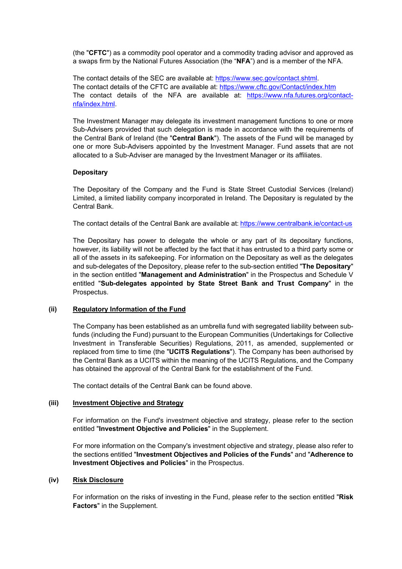(the "**CFTC**") as a commodity pool operator and a commodity trading advisor and approved as a swaps firm by the National Futures Association (the "**NFA**") and is a member of the NFA.

The contact details of the SEC are available at: [https://www.sec.gov/contact.shtml.](https://www.sec.gov/contact.shtml) The contact details of the CFTC are available at: <https://www.cftc.gov/Contact/index.htm> The contact details of the NFA are available at: [https://www.nfa.futures.org/contact](https://www.nfa.futures.org/contact-nfa/index.html)[nfa/index.html.](https://www.nfa.futures.org/contact-nfa/index.html)

The Investment Manager may delegate its investment management functions to one or more Sub-Advisers provided that such delegation is made in accordance with the requirements of the Central Bank of Ireland (the "**Central Bank**"). The assets of the Fund will be managed by one or more Sub-Advisers appointed by the Investment Manager. Fund assets that are not allocated to a Sub-Adviser are managed by the Investment Manager or its affiliates.

## **Depositary**

The Depositary of the Company and the Fund is State Street Custodial Services (Ireland) Limited, a limited liability company incorporated in Ireland. The Depositary is regulated by the Central Bank.

The contact details of the Central Bank are available at: <https://www.centralbank.ie/contact-us>

The Depositary has power to delegate the whole or any part of its depositary functions, however, its liability will not be affected by the fact that it has entrusted to a third party some or all of the assets in its safekeeping. For information on the Depositary as well as the delegates and sub-delegates of the Depository, please refer to the sub-section entitled "**The Depositary**" in the section entitled "**Management and Administration**" in the Prospectus and Schedule V entitled "**Sub-delegates appointed by State Street Bank and Trust Company**" in the Prospectus.

# **(ii) Regulatory Information of the Fund**

The Company has been established as an umbrella fund with segregated liability between subfunds (including the Fund) pursuant to the European Communities (Undertakings for Collective Investment in Transferable Securities) Regulations, 2011, as amended, supplemented or replaced from time to time (the "**UCITS Regulations**"). The Company has been authorised by the Central Bank as a UCITS within the meaning of the UCITS Regulations, and the Company has obtained the approval of the Central Bank for the establishment of the Fund.

The contact details of the Central Bank can be found above.

# **(iii) Investment Objective and Strategy**

For information on the Fund's investment objective and strategy, please refer to the section entitled "**Investment Objective and Policies**" in the Supplement.

For more information on the Company's investment objective and strategy, please also refer to the sections entitled "**Investment Objectives and Policies of the Funds**" and "**Adherence to Investment Objectives and Policies**" in the Prospectus.

### **(iv) Risk Disclosure**

For information on the risks of investing in the Fund, please refer to the section entitled "**Risk Factors**" in the Supplement.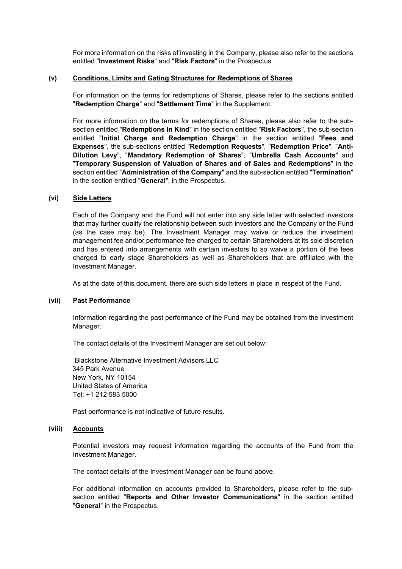For more information on the risks of investing in the Company, please also refer to the sections entitled "**Investment Risks**" and "**Risk Factors**" in the Prospectus.

## **(v) Conditions, Limits and Gating Structures for Redemptions of Shares**

For information on the terms for redemptions of Shares, please refer to the sections entitled "**Redemption Charge**" and "**Settlement Time**" in the Supplement.

For more information on the terms for redemptions of Shares, please also refer to the subsection entitled "**Redemptions In Kind**" in the section entitled "**Risk Factors**", the sub-section entitled "**Initial Charge and Redemption Charge**" in the section entitled "**Fees and Expenses**", the sub-sections entitled "**Redemption Requests**", "**Redemption Price**", "**Anti-Dilution Levy**", "**Mandatory Redemption of Shares**", "**Umbrella Cash Accounts**" and "**Temporary Suspension of Valuation of Shares and of Sales and Redemptions**" in the section entitled "**Administration of the Company**" and the sub-section entitled "**Termination**" in the section entitled "**General**", in the Prospectus.

### **(vi) Side Letters**

Each of the Company and the Fund will not enter into any side letter with selected investors that may further qualify the relationship between such investors and the Company or the Fund (as the case may be). The Investment Manager may waive or reduce the investment management fee and/or performance fee charged to certain Shareholders at its sole discretion and has entered into arrangements with certain investors to so waive a portion of the fees charged to early stage Shareholders as well as Shareholders that are affiliated with the Investment Manager.

As at the date of this document, there are such side letters in place in respect of the Fund.

### **(vii) Past Performance**

Information regarding the past performance of the Fund may be obtained from the Investment Manager.

The contact details of the Investment Manager are set out below:

Blackstone Alternative Investment Advisors LLC 345 Park Avenue New York, NY 10154 United States of America Tel: +1 212 583 5000

Past performance is not indicative of future results.

## **(viii) Accounts**

Potential investors may request information regarding the accounts of the Fund from the Investment Manager.

The contact details of the Investment Manager can be found above.

For additional information on accounts provided to Shareholders, please refer to the subsection entitled "**Reports and Other Investor Communications**" in the section entitled "**General**" in the Prospectus.